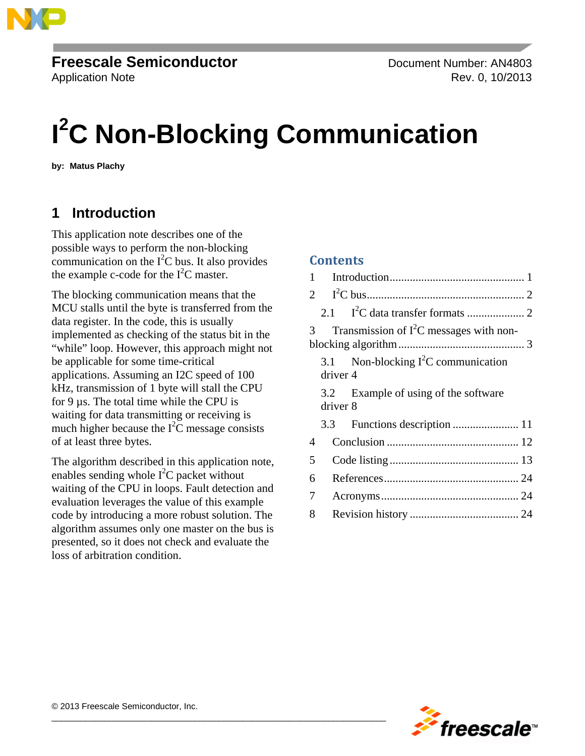

# **Freescale Semiconductor** Document Number: AN4803

Application Note Rev. 0, 10/2013

# **I 2 C Non-Blocking Communication**

**by: Matus Plachy**

## <span id="page-0-0"></span>**1 Introduction**

This application note describes one of the possible ways to perform the non-blocking communication on the  $I<sup>2</sup>C$  bus. It also provides the example c-code for the  $I<sup>2</sup>C$  master.

The blocking communication means that the MCU stalls until the byte is transferred from the data register. In the code, this is usually implemented as checking of the status bit in the "while" loop. However, this approach might not be applicable for some time-critical applications. Assuming an I2C speed of 100 kHz, transmission of 1 byte will stall the CPU for 9 µs. The total time while the CPU is waiting for data transmitting or receiving is much higher because the  $I^2C$  message consists of at least three bytes.

The algorithm described in this application note, enables sending whole  $I^2C$  packet without waiting of the CPU in loops. Fault detection and evaluation leverages the value of this example code by introducing a more robust solution. The algorithm assumes only one master on the bus is presented, so it does not check and evaluate the loss of arbitration condition.

 $\overline{\phantom{a}}$  , and the contribution of the contribution of the contribution of the contribution of the contribution of the contribution of the contribution of the contribution of the contribution of the contribution of the

#### **Contents**

| 1              |                 |                                           |  |
|----------------|-----------------|-------------------------------------------|--|
|                | $\mathbf{2}$    |                                           |  |
|                | 2.1             |                                           |  |
| $\mathcal{R}$  |                 | Transmission of $I^2C$ messages with non- |  |
|                | 3.1<br>driver 4 | Non-blocking $I^2C$ communication         |  |
|                | 3.2<br>driver 8 | Example of using of the software          |  |
|                | 3.3             |                                           |  |
| $\overline{A}$ |                 |                                           |  |
| 5              |                 |                                           |  |
| 6              |                 |                                           |  |
| 7              |                 |                                           |  |
| 8              |                 |                                           |  |

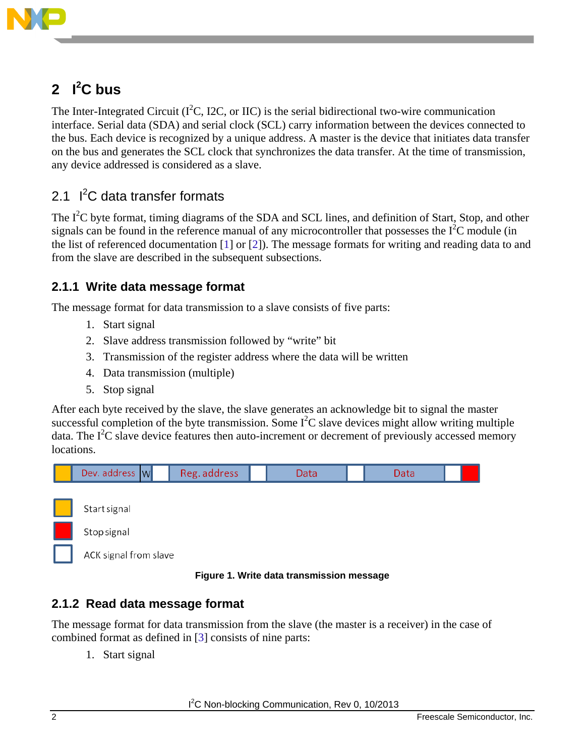

# <span id="page-1-0"></span>**2 I 2 C bus**

The Inter-Integrated Circuit ( $I<sup>2</sup>C$ , I2C, or IIC) is the serial bidirectional two-wire communication interface. Serial data (SDA) and serial clock (SCL) carry information between the devices connected to the bus. Each device is recognized by a unique address. A master is the device that initiates data transfer on the bus and generates the SCL clock that synchronizes the data transfer. At the time of transmission, any device addressed is considered as a slave.

## <span id="page-1-1"></span>2.1 I<sup>2</sup>C data transfer formats

The  $I<sup>2</sup>C$  byte format, timing diagrams of the SDA and SCL lines, and definition of Start, Stop, and other signals can be found in the reference manual of any microcontroller that possesses the  $I<sup>2</sup>C$  module (in the list of referenced documentation [1] or [2]). The message formats for writing and reading data to and from the slave are described in the subsequent subsections.

### **2.1.1 Write data message format**

The message format for data transmission to a slave consists of five parts:

- 1. Start signal
- 2. Slave address transmission followed by "write" bit
- 3. Transmission of the register address where the data will be written
- 4. Data transmission (multiple)
- 5. Stop signal

After each byte received by the slave, the slave generates an acknowledge bit to signal the master successful completion of the byte transmission. Some  $I<sup>2</sup>C$  slave devices might allow writing multiple data. The  $I^2C$  slave device features then auto-increment or decrement of previously accessed memory locations.



#### **Figure 1. Write data transmission message**

### **2.1.2 Read data message format**

The message format for data transmission from the slave (the master is a receiver) in the case of combined format as defined in [3] consists of nine parts:

1. Start signal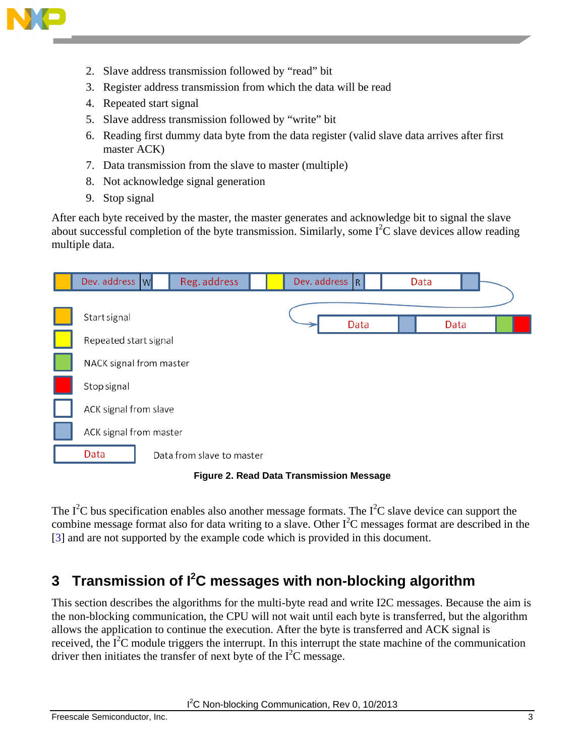

- 2. Slave address transmission followed by "read" bit
- 3. Register address transmission from which the data will be read
- 4. Repeated start signal
- 5. Slave address transmission followed by "write" bit
- 6. Reading first dummy data byte from the data register (valid slave data arrives after first master ACK)
- 7. Data transmission from the slave to master (multiple)
- 8. Not acknowledge signal generation
- 9. Stop signal

After each byte received by the master, the master generates and acknowledge bit to signal the slave about successful completion of the byte transmission. Similarly, some  $I<sup>2</sup>C$  slave devices allow reading multiple data.

| Dev. address W          | Reg. address              |  | Dev. address R | Data |      |  |
|-------------------------|---------------------------|--|----------------|------|------|--|
|                         |                           |  |                |      |      |  |
| Start signal            |                           |  | Data           |      | Data |  |
| Repeated start signal   |                           |  |                |      |      |  |
| NACK signal from master |                           |  |                |      |      |  |
| Stop signal             |                           |  |                |      |      |  |
| ACK signal from slave   |                           |  |                |      |      |  |
| ACK signal from master  |                           |  |                |      |      |  |
| Data                    | Data from slave to master |  |                |      |      |  |

**Figure 2. Read Data Transmission Message**

The  $I^2C$  bus specification enables also another message formats. The  $I^2C$  slave device can support the combine message format also for data writing to a slave. Other  $I<sup>2</sup>C$  messages format are described in the [3] and are not supported by the example code which is provided in this document.

# <span id="page-2-0"></span>**3 Transmission of I2 C messages with non-blocking algorithm**

This section describes the algorithms for the multi-byte read and write I2C messages. Because the aim is the non-blocking communication, the CPU will not wait until each byte is transferred, but the algorithm allows the application to continue the execution. After the byte is transferred and ACK signal is received, the  $I^2C$  module triggers the interrupt. In this interrupt the state machine of the communication driver then initiates the transfer of next byte of the  $I^2C$  message.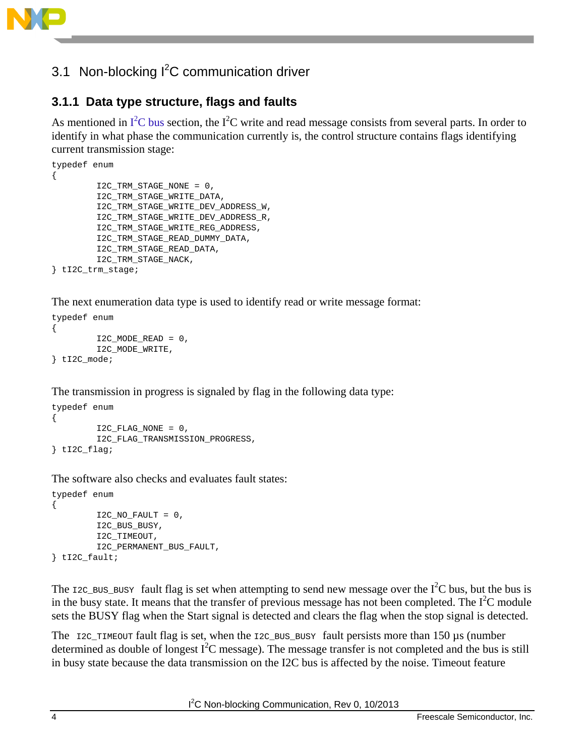

# <span id="page-3-0"></span>3.1 Non-blocking l<sup>2</sup>C communication driver

## **3.1.1 Data type structure, flags and faults**

As mentioned in  $I^2C$  bus section, the  $I^2C$  write and read message consists from several parts. In order to identify in what phase the communication currently is, the control structure contains flags identifying current transmission stage:

```
typedef enum 
{ 
        I2C_TRM_STAGE_NONE = 0,
        I2C_TRM_STAGE_WRITE_DATA,
        I2C_TRM_STAGE_WRITE_DEV_ADDRESS_W,
        I2C_TRM_STAGE_WRITE_DEV_ADDRESS_R,
        I2C_TRM_STAGE_WRITE_REG_ADDRESS,
        I2C_TRM_STAGE_READ_DUMMY_DATA,
        I2C_TRM_STAGE_READ_DATA,
        I2C_TRM_STAGE_NACK, 
} tI2C_trm_stage;
```
The next enumeration data type is used to identify read or write message format:

```
typedef enum
{
        I2C_MODE_READ = 0,
        I2C_MODE_WRITE,
} tI2C_mode;
```
The transmission in progress is signaled by flag in the following data type:

```
typedef enum
{ 
         I2C_FLAG_NONE = 0,
        I2C_FLAG_TRANSMISSION_PROGRESS, 
} tI2C_flag;
```
The software also checks and evaluates fault states:

```
typedef enum
\{I2C_NO_FAULT = 0,
        I2C_BUS_BUSY,
        I2C_TIMEOUT,
        I2C_PERMANENT_BUS_FAULT,
} tI2C_fault;
```
The  $\text{I2C_BUS_BUSY}$  fault flag is set when attempting to send new message over the  $I^2C$  bus, but the bus is in the busy state. It means that the transfer of previous message has not been completed. The  $I<sup>2</sup>C$  module sets the BUSY flag when the Start signal is detected and clears the flag when the stop signal is detected.

The  $I2C$  TIMEOUT fault flag is set, when the I2C BUS BUSY fault persists more than 150 µs (number determined as double of longest  $I^2C$  message). The message transfer is not completed and the bus is still in busy state because the data transmission on the I2C bus is affected by the noise. Timeout feature

<sup>2</sup>C Non-blocking Communication, Rev 0, 10/2013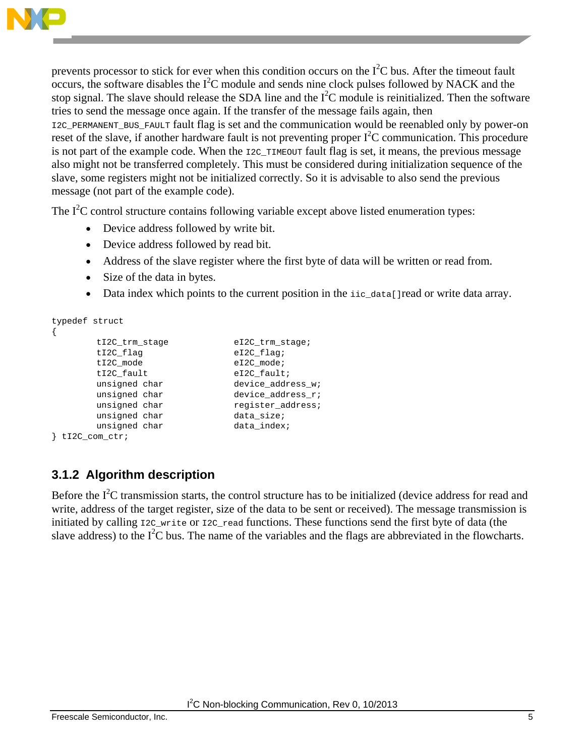

prevents processor to stick for ever when this condition occurs on the  $I<sup>2</sup>C$  bus. After the timeout fault  $\overline{\text{occurs}}$ , the software disables the  $I^2C$  module and sends nine clock pulses followed by NACK and the stop signal. The slave should release the SDA line and the  $I<sup>2</sup>C$  module is reinitialized. Then the software tries to send the message once again. If the transfer of the message fails again, then I2C\_PERMANENT\_BUS\_FAULT fault flag is set and the communication would be reenabled only by power-on reset of the slave, if another hardware fault is not preventing proper  $I<sup>2</sup>C$  communication. This procedure is not part of the example code. When the I2C\_TIMEOUT fault flag is set, it means, the previous message also might not be transferred completely. This must be considered during initialization sequence of the slave, some registers might not be initialized correctly. So it is advisable to also send the previous message (not part of the example code).

The  $I<sup>2</sup>C$  control structure contains following variable except above listed enumeration types:

- Device address followed by write bit.
- Device address followed by read bit.
- Address of the slave register where the first byte of data will be written or read from.
- Size of the data in bytes.
- Data index which points to the current position in the iic\_data[]read or write data array.

```
typedef struct
{
           tI2C_trm_stage eI2C_trm_stage;<br>tI2C_flag eI2C_flag;
           tI2C_flag eI2C_flag;<br>tI2C_mode eI2C_mode;
           tI2C_mode eI2C_mode<br>tI2C_fault eI2C_fault
           tI2C_fault eI2C_fault;<br>unsigned char bevice_addr
           unsigned char device_address_w;<br>unsigned char device_address_r;
                                             device_address_r;
           unsigned char register_address;<br>unsigned char data_size;
          unsigned char data_size;<br>unsigned char data_index;
          unsigned char
} tI2C_com_ctr;
```
## <span id="page-4-0"></span>**3.1.2 Algorithm description**

Before the  $I<sup>2</sup>C$  transmission starts, the control structure has to be initialized (device address for read and write, address of the target register, size of the data to be sent or received). The message transmission is initiated by calling  $\text{IC\_write}$  or  $\text{IC\_read}$  functions. These functions send the first byte of data (the slave address) to the  $I^2C$  bus. The name of the variables and the flags are abbreviated in the flowcharts.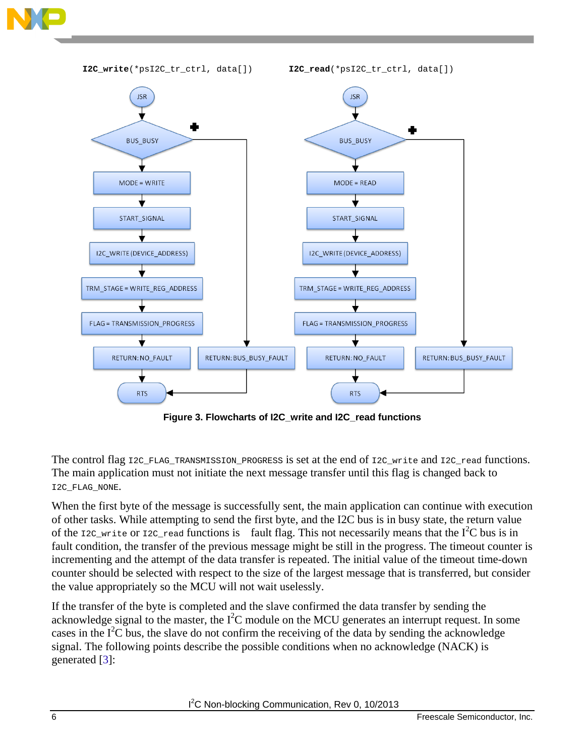



**Figure 3. Flowcharts of I2C\_write and I2C\_read functions**

The control flag I2C\_FLAG\_TRANSMISSION\_PROGRESS is set at the end of I2C\_write and I2C\_read functions. The main application must not initiate the next message transfer until this flag is changed back to I2C\_FLAG\_NONE.

When the first byte of the message is successfully sent, the main application can continue with execution of other tasks. While attempting to send the first byte, and the I2C bus is in busy state, the return value of the  $\text{IC\_write}$  or  $\text{IC\_read}$  functions is fault flag. This not necessarily means that the I<sup>2</sup>C bus is in fault condition, the transfer of the previous message might be still in the progress. The timeout counter is incrementing and the attempt of the data transfer is repeated. The initial value of the timeout time-down counter should be selected with respect to the size of the largest message that is transferred, but consider the value appropriately so the MCU will not wait uselessly.

If the transfer of the byte is completed and the slave confirmed the data transfer by sending the acknowledge signal to the master, the  $I<sup>2</sup>C$  module on the MCU generates an interrupt request. In some cases in the  $I^2C$  bus, the slave do not confirm the receiving of the data by sending the acknowledge signal. The following points describe the possible conditions when no acknowledge (NACK) is generated [3]: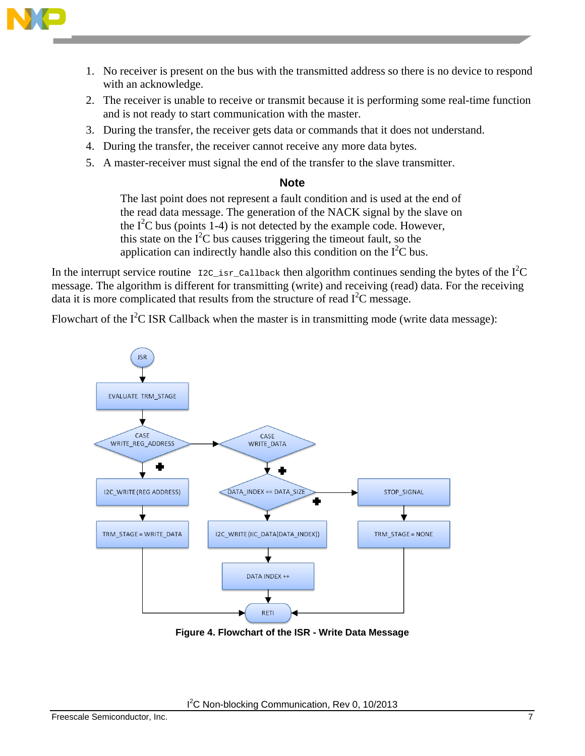

- 1. No receiver is present on the bus with the transmitted address so there is no device to respond with an acknowledge.
- 2. The receiver is unable to receive or transmit because it is performing some real-time function and is not ready to start communication with the master.
- 3. During the transfer, the receiver gets data or commands that it does not understand.
- 4. During the transfer, the receiver cannot receive any more data bytes.
- 5. A master-receiver must signal the end of the transfer to the slave transmitter.

#### **Note**

The last point does not represent a fault condition and is used at the end of the read data message. The generation of the NACK signal by the slave on the  $I<sup>2</sup>C$  bus (points 1-4) is not detected by the example code. However, this state on the  $I<sup>2</sup>C$  bus causes triggering the timeout fault, so the application can indirectly handle also this condition on the  $I<sup>2</sup>C$  bus.

In the interrupt service routine  $_{\text{I2C\_isr\_Callback}}$  then algorithm continues sending the bytes of the  $I^2C$ message. The algorithm is different for transmitting (write) and receiving (read) data. For the receiving data it is more complicated that results from the structure of read  $I<sup>2</sup>C$  message.

Flowchart of the  $I^2C$  ISR Callback when the master is in transmitting mode (write data message):



**Figure 4. Flowchart of the ISR - Write Data Message**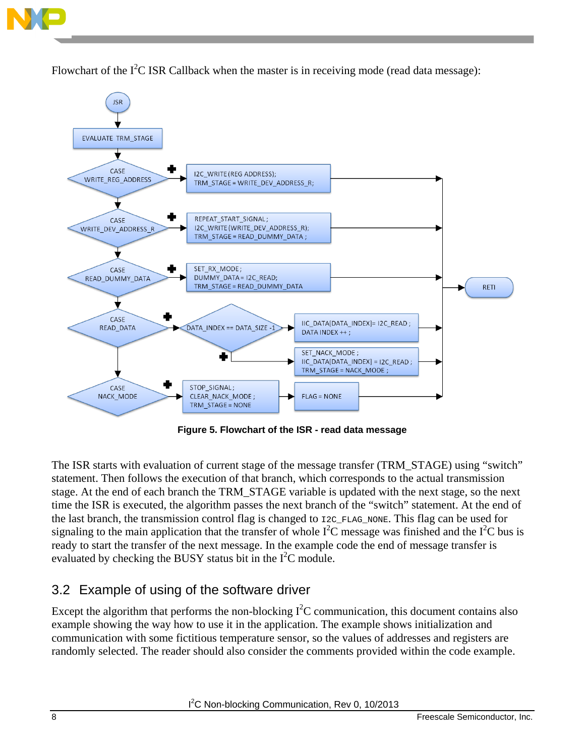

Flowchart of the  $I^2C$  ISR Callback when the master is in receiving mode (read data message):



**Figure 5. Flowchart of the ISR - read data message**

The ISR starts with evaluation of current stage of the message transfer (TRM\_STAGE) using "switch" statement. Then follows the execution of that branch, which corresponds to the actual transmission stage. At the end of each branch the TRM\_STAGE variable is updated with the next stage, so the next time the ISR is executed, the algorithm passes the next branch of the "switch" statement. At the end of the last branch, the transmission control flag is changed to  $I2C$ -FLAG\_NONE. This flag can be used for signaling to the main application that the transfer of whole  $I^2C$  message was finished and the  $I^2C$  bus is ready to start the transfer of the next message. In the example code the end of message transfer is evaluated by checking the BUSY status bit in the  $I^2C$  module.

### <span id="page-7-0"></span>3.2 Example of using of the software driver

Except the algorithm that performs the non-blocking  $I^2C$  communication, this document contains also example showing the way how to use it in the application. The example shows initialization and communication with some fictitious temperature sensor, so the values of addresses and registers are randomly selected. The reader should also consider the comments provided within the code example.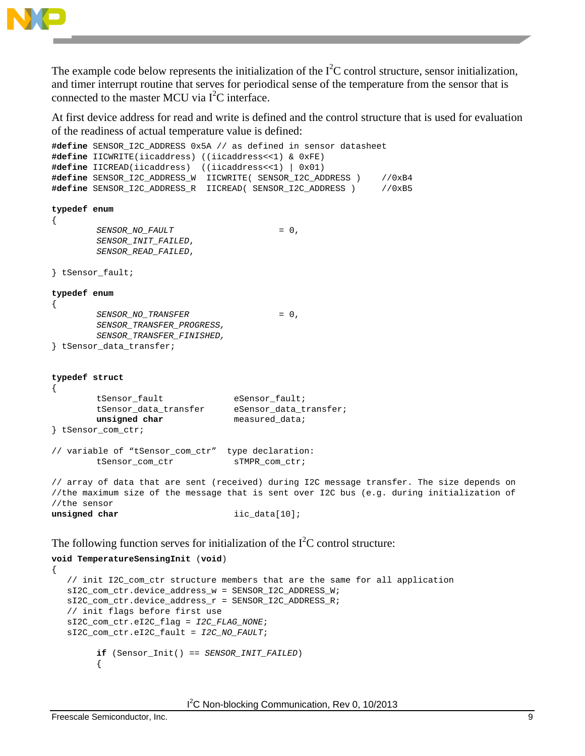

The example code below represents the initialization of the  $I<sup>2</sup>C$  control structure, sensor initialization, and timer interrupt routine that serves for periodical sense of the temperature from the sensor that is connected to the master MCU via  $I^2C$  interface.

At first device address for read and write is defined and the control structure that is used for evaluation of the readiness of actual temperature value is defined:

```
#define SENSOR_I2C_ADDRESS 0x5A // as defined in sensor datasheet
#define IICWRITE(iicaddress) ((iicaddress<<1) & 0xFE)
#define IICREAD(iicaddress) ((iicaddress<<1) | 0x01)
#define SENSOR_I2C_ADDRESS_W IICWRITE( SENSOR_I2C_ADDRESS ) //0xB4
#define SENSOR_I2C_ADDRESS_R IICREAD( SENSOR_I2C_ADDRESS ) //0xB5
typedef enum
{
        SENSOR_NO_FAULT = 0,
        SENSOR_INIT_FAILED,
        SENSOR_READ_FAILED,
} tSensor_fault;
typedef enum
{
        SENSOR_NO_TRANSFER = 0,
        SENSOR_TRANSFER_PROGRESS,
        SENSOR_TRANSFER_FINISHED,
} tSensor_data_transfer;
typedef struct
{
        tSensor_fault eSensor_fault;<br>tSensor_data_transfer eSensor_data_transfer;
        tSensor_data_transfer<br>unsigned char
                                   unsigned char measured_data;
} tSensor_com_ctr;
// variable of "tSensor_com_ctr" type declaration:
        tSensor_com_ctr sTMPR_com_ctr;
// array of data that are sent (received) during I2C message transfer. The size depends on 
//the maximum size of the message that is sent over I2C bus (e.g. during initialization of 
//the sensor
unsigned char iic_data[10];
```
The following function serves for initialization of the  $I<sup>2</sup>C$  control structure:

```
void TemperatureSensingInit (void)
{
    // init I2C_com_ctr structure members that are the same for all application
    sI2C_com_ctr.device_address_w = SENSOR_I2C_ADDRESS_W;
    sI2C_com_ctr.device_address_r = SENSOR_I2C_ADDRESS_R;
    // init flags before first use
    sI2C_com_ctr.eI2C_flag = I2C_FLAG_NONE;
    sI2C_com_ctr.eI2C_fault = I2C_NO_FAULT; 
        if (Sensor_Init() == SENSOR_INIT_FAILED)
         {
```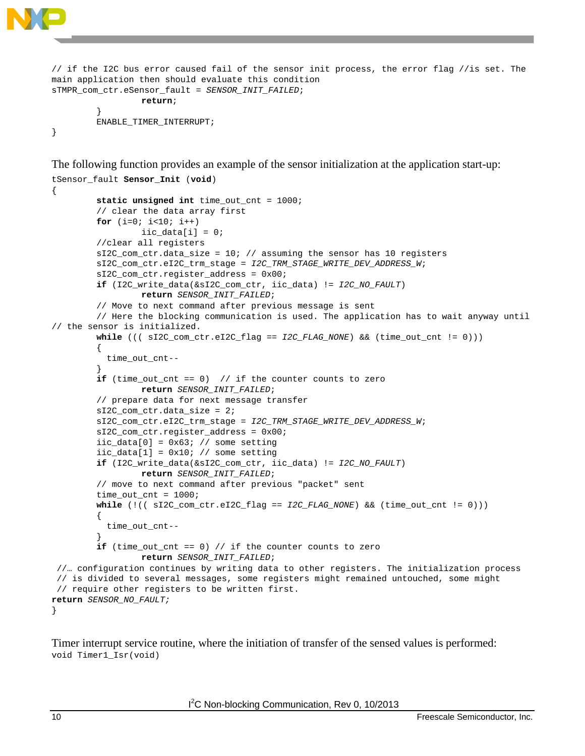```
// if the I2C bus error caused fail of the sensor init process, the error flag //is set. The 
main application then should evaluate this condition
sTMPR_com_ctr.eSensor_fault = SENSOR_INIT_FAILED;
                 return;
         }
        ENABLE_TIMER_INTERRUPT;
```
}

The following function provides an example of the sensor initialization at the application start-up:

```
tSensor_fault Sensor_Init (void)
{
        static unsigned int time_out_cnt = 1000;
         // clear the data array first
        for (i=0; i<10; i++)\text{ii}c\_data[i] = 0;//clear all registers 
        sI2C_com_ctr.data_size = 10; // assuming the sensor has 10 registers
        sI2C_com_ctr.eI2C_trm_stage = I2C_TRM_STAGE_WRITE_DEV_ADDRESS_W;
        sI2C_com_ctr.register_address = 0x00; 
        if (I2C_write_data(&sI2C_com_ctr, iic_data) != I2C_NO_FAULT)
                 return SENSOR_INIT_FAILED; 
         // Move to next command after previous message is sent 
         // Here the blocking communication is used. The application has to wait anyway until 
// the sensor is initialized. 
        while ((( sI2C_com_ctr.eI2C_flag == I2C_FLAG_NONE) && (time_out_cnt != 0))) 
         { 
            time_out_cnt--
         } 
        if (time_out_cnt == 0) // if the counter counts to zero
                 return SENSOR_INIT_FAILED;
        // prepare data for next message transfer
        sI2C_com_ctr.data_size = 2;
        sI2C_com_ctr.eI2C_trm_stage = I2C_TRM_STAGE_WRITE_DEV_ADDRESS_W;
        sI2C_com_ctr.register_address = 0x00;
        ic_data[0] = 0x63; // some setting\text{inc\_data}[1] = 0 \times 10; // some setting
        if (I2C_write_data(&sI2C_com_ctr, iic_data) != I2C_NO_FAULT)
                  return SENSOR_INIT_FAILED; 
         // move to next command after previous "packet" sent 
        time_out_cnt = 1000;
        while (!(( sI2C_com_ctr.eI2C_flag == I2C_FLAG_NONE) && (time_out_cnt != 0))) 
         {
           time_out_cnt--
         } 
         if (time_out_cnt == 0) // if the counter counts to zero
                 return SENSOR_INIT_FAILED;
 //… configuration continues by writing data to other registers. The initialization process 
 // is divided to several messages, some registers might remained untouched, some might 
 // require other registers to be written first.
return SENSOR_NO_FAULT;
}
```
Timer interrupt service routine, where the initiation of transfer of the sensed values is performed: void Timer1\_Isr(void)

<sup>2</sup>C Non-blocking Communication, Rev 0, 10/2013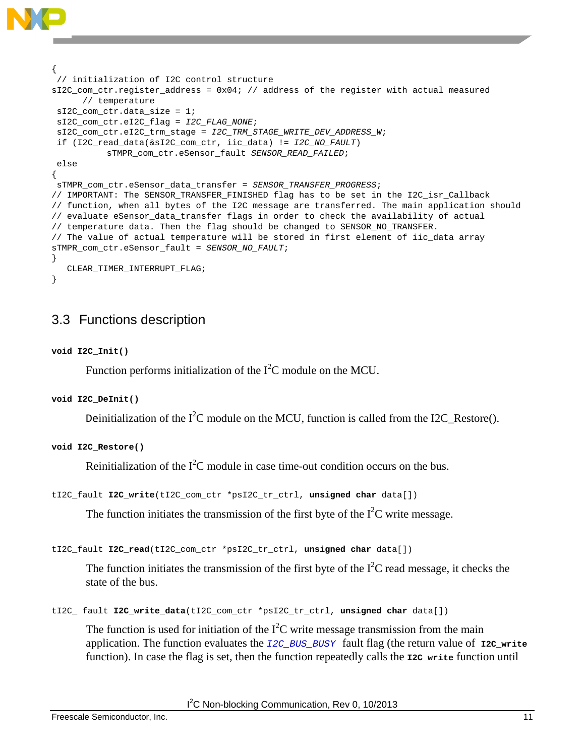```
{
 // initialization of I2C control structure
sI2C_com_ctr.register_address = 0x04; // address of the register with actual measured 
      // temperature 
 sI2C_com_ctr.data_size = 1;
 sI2C_com_ctr.eI2C_flag = I2C_FLAG_NONE;
 sI2C_com_ctr.eI2C_trm_stage = I2C_TRM_STAGE_WRITE_DEV_ADDRESS_W;
 if (I2C_read_data(&sI2C_com_ctr, iic_data) != I2C_NO_FAULT)
            sTMPR_com_ctr.eSensor_fault SENSOR_READ_FAILED; 
else
{
sTMPR_com_ctr.eSensor_data_transfer = SENSOR_TRANSFER_PROGRESS; 
// IMPORTANT: The SENSOR_TRANSFER_FINISHED flag has to be set in the I2C_isr_Callback 
// function, when all bytes of the I2C message are transferred. The main application should 
// evaluate eSensor_data_transfer flags in order to check the availability of actual 
// temperature data. Then the flag should be changed to SENSOR_NO_TRANSFER.
// The value of actual temperature will be stored in first element of iic_data array
sTMPR_com_ctr.eSensor_fault = SENSOR_NO_FAULT;
}
   CLEAR_TIMER_INTERRUPT_FLAG;
}
```
## <span id="page-10-0"></span>3.3 Functions description

#### **void I2C\_Init()**

Function performs initialization of the  $I<sup>2</sup>C$  module on the MCU.

```
void I2C_DeInit()
```
Deinitialization of the  $I^2C$  module on the MCU, function is called from the I2C\_Restore().

```
void I2C_Restore()
```
Reinitialization of the  $I^2C$  module in case time-out condition occurs on the bus.

```
tI2C_fault I2C_write(tI2C_com_ctr *psI2C_tr_ctrl, unsigned char data[])
```
The function initiates the transmission of the first byte of the  $I<sup>2</sup>C$  write message.

```
tI2C_fault I2C_read(tI2C_com_ctr *psI2C_tr_ctrl, unsigned char data[])
```
The function initiates the transmission of the first byte of the  $I<sup>2</sup>C$  read message, it checks the state of the bus.

tI2C\_ fault **I2C\_write\_data**(tI2C\_com\_ctr \*psI2C\_tr\_ctrl, **unsigned char** data[])

The function is used for initiation of the  $I<sup>2</sup>C$  write message transmission from the main application. The function evaluates the *I2C\_BUS\_BUSY* fault flag (the return value of **I2C\_write** function). In case the flag is set, then the function repeatedly calls the **I2C\_write** function until

<sup>2</sup>C Non-blocking Communication, Rev 0, 10/2013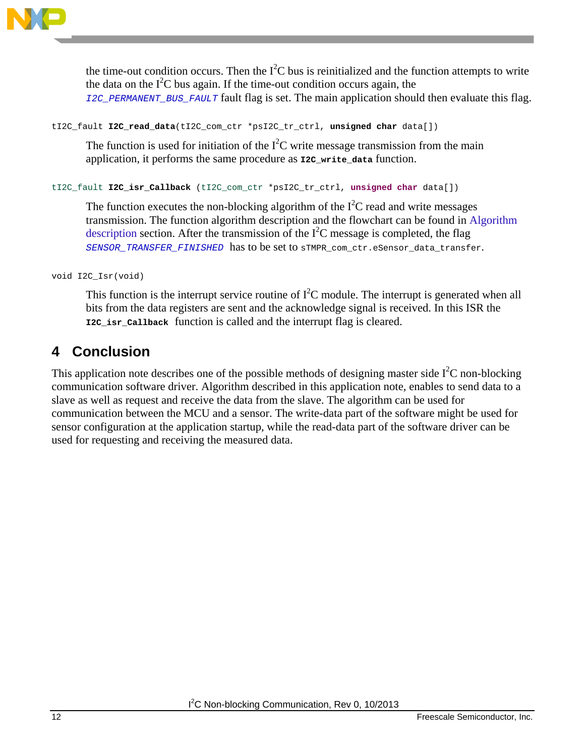

the time-out condition occurs. Then the  $I<sup>2</sup>C$  bus is reinitialized and the function attempts to write the data on the  $I^2C$  bus again. If the time-out condition occurs again, the *I2C\_PERMANENT\_BUS\_FAULT* fault flag is set. The main application should then evaluate this flag.

```
tI2C_fault I2C_read_data(tI2C_com_ctr *psI2C_tr_ctrl, unsigned char data[])
```
The function is used for initiation of the  $I<sup>2</sup>C$  write message transmission from the main application, it performs the same procedure as **I2C\_write\_data** function.

tI2C\_fault **I2C\_isr\_Callback** (tI2C\_com\_ctr \*psI2C\_tr\_ctrl, **unsigned char** data[])

The function executes the non-blocking algorithm of the  $I<sup>2</sup>C$  read and write messages transmission. The function algorithm description and the flowchart can be found in [Algorithm](#page-4-0)  [description](#page-4-0) section. After the transmission of the  $I<sup>2</sup>C$  message is completed, the flag *SENSOR\_TRANSFER\_FINISHED* has to be set to sTMPR\_com\_ctr.eSensor\_data\_transfer.

void I2C\_Isr(void)

This function is the interrupt service routine of  $I^2C$  module. The interrupt is generated when all bits from the data registers are sent and the acknowledge signal is received. In this ISR the **I2C\_isr\_Callback** function is called and the interrupt flag is cleared.

# <span id="page-11-0"></span>**4 Conclusion**

This application note describes one of the possible methods of designing master side  $I<sup>2</sup>C$  non-blocking communication software driver. Algorithm described in this application note, enables to send data to a slave as well as request and receive the data from the slave. The algorithm can be used for communication between the MCU and a sensor. The write-data part of the software might be used for sensor configuration at the application startup, while the read-data part of the software driver can be used for requesting and receiving the measured data.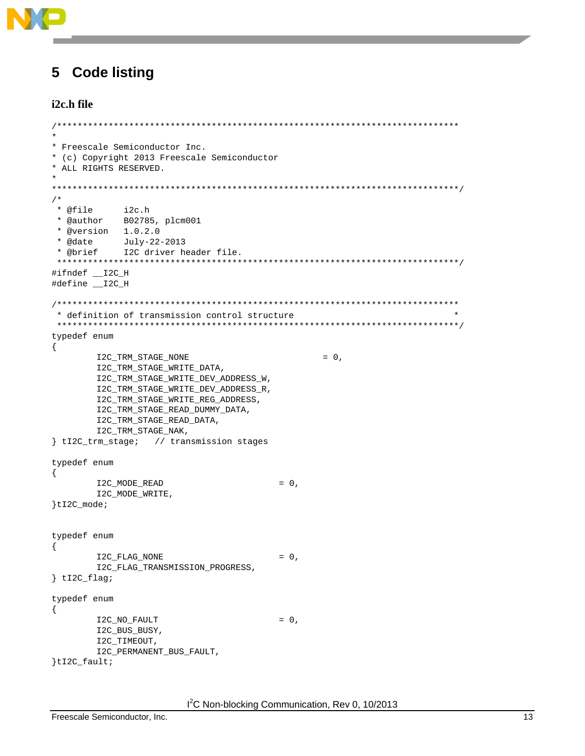

#### <span id="page-12-0"></span>**Code listing** 5

#### i2c.h file

```
* Freescale Semiconductor Inc.
* (c) Copyright 2013 Freescale Semiconductor
* ALL RIGHTS RESERVED.
/*
* @file
        i2c.h
* @author B02785, plcm001
* @version 1.0.2.0waate \text{July-22-2013}<br>* @brief \text{J2C} 4.
        I2C driver header file.
#ifndef __I2C_H
#define __I2C_H
* definition of transmission control structure
typedef enum
{
     I2C_TRM_STAGE_NONE
                                    = 0,I2C_TRM_STAGE_WRITE_DATA,
     I2C_TRM_STAGE_WRITE_DEV_ADDRESS_W,
     I2C_TRM_STAGE_WRITE_DEV_ADDRESS_R,
     I2C_TRM_STAGE_WRITE_REG_ADDRESS,
     I2C_TRM_STAGE_READ_DUMMY_DATA,
     I2C_TRM_STAGE_READ_DATA,
     I2C_TRM_STAGE_NAK,
{ tI2C_trm_stage; // transmission stages
typedef enum
₹
     I2C_MODE_READ
                              = 0,I2C MODE WRITE,
}tI2C mode;
typedef enum
\{I2C_FLAG_NONE
                              = 0,I2C_FLAG_TRANSMISSION_PROGRESS,
\} tI2C_flag;
typedef enum
€
     I2C_NO_FAULT
                              = 0,I2C_BUS_BUSY,
     I2C_TIMEOUT,
     I2C_PERMANENT_BUS_FAULT,
}tI2C_fault;
```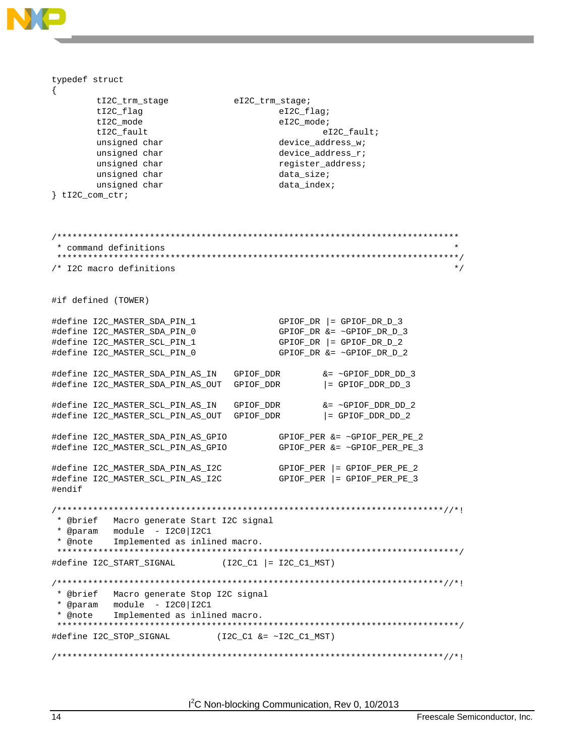

I<sup>2</sup>C Non-blocking Communication, Rev 0, 10/2013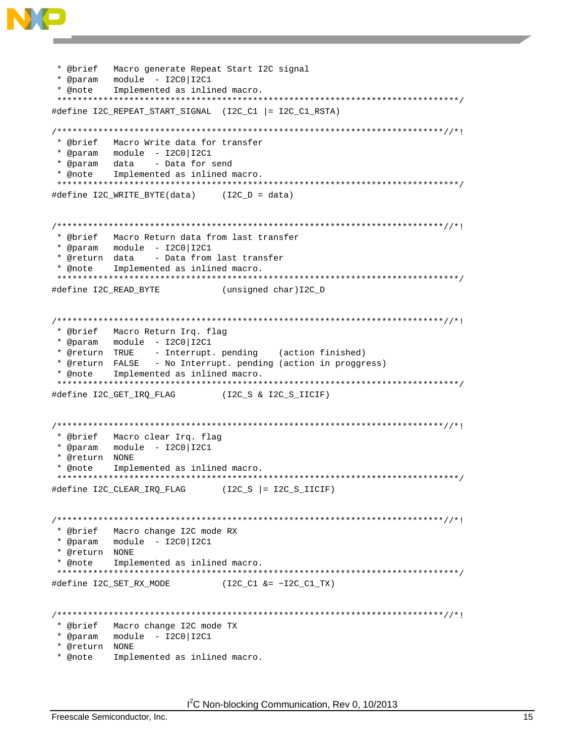

```
* @brief Macro generate Repeat Start I2C signal
* @note Implemented as inlined macro.
#define I2C_REPEAT_START_SIGNAL (I2C_C1 |= I2C_C1_RSTA)
* @brief Macro Write data for transfer
* @param data - Data for send
* @note Implemented as inlined macro.
                   **************************************
#define I2C_WRITE_BYTE(data) (I2C_D = data)
* @brief Macro Return data from last transfer
- Data from last transfer
* @return data
* @note Implemented as inlined macro.
#define I2C_READ_BYTE
                (unsigned char) I2C_D
* @brief Macro Return Irq. flag
* @return TRUE - Interrupt. pending (action finished)<br>* @return FALSE - No Interrupt. pending (action in proggress)
* @note Implemented as inlined macro.
#define I2C_GET_IRQ_FLAG
               (I2C_S & I2C_S_IICIF)
* @brief Macro clear Irq. flag
* @return NONE
* @note Implemented as inlined macro.
#define I2C CLEAR IRO FLAG
               (I2C_S | = I2C_S_IICIF)* @brief Macro change I2C mode RX
* @param module - I2C0 | I2C1
* @return NONE
* @note Implemented as inlined macro.
#define I2C_SET_RX_MODE
                (12C_C1 \&= \sim 12C_C1_TX)* @brief Macro change I2C mode TX
* @return NONE
```
\* @note Implemented as inlined macro.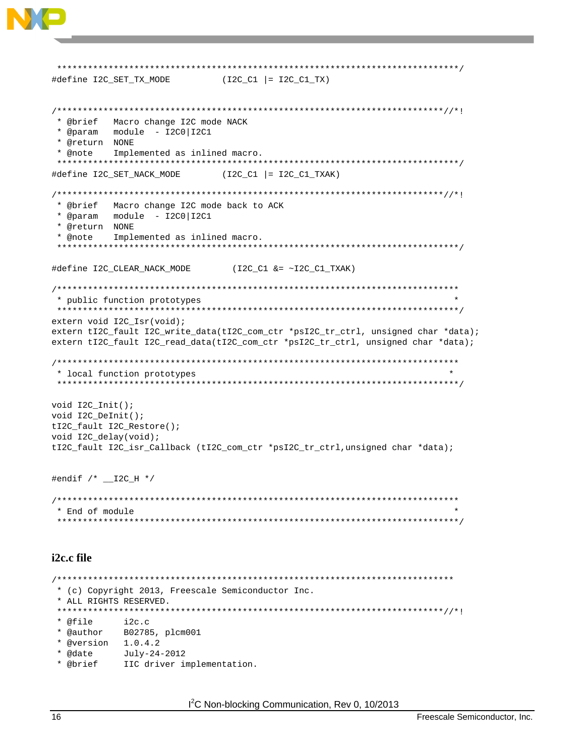

```
* (c) Copyright 2013, Freescale Semiconductor Inc.
* ALL RIGHTS RESERVED.
* @file
        i2c.c* @author B02785, plcm001
* @version 1.0.4.2* @date
       July-24-2012
* @brief
        IIC driver implementation.
```
I<sup>2</sup>C Non-blocking Communication, Rev 0, 10/2013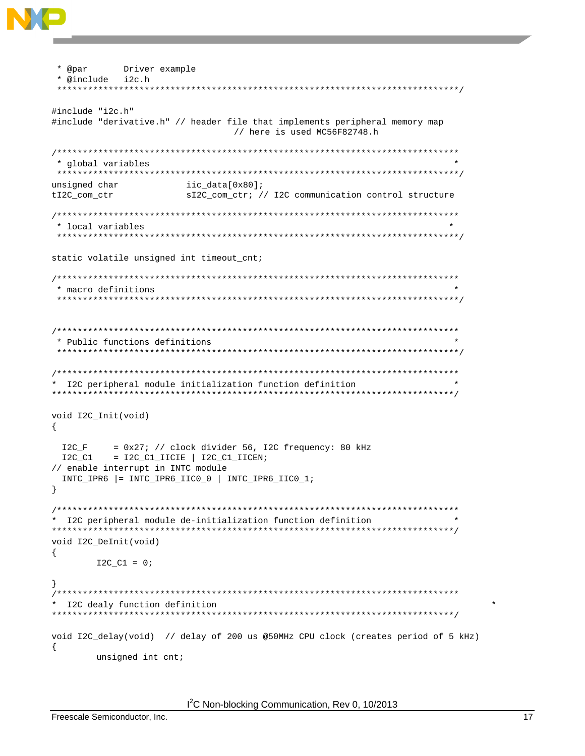

```
* @par
     Driver example
* @include i2c.h
#include "i2c.h"
#include "derivative.h" // header file that implements peripheral memory map
               // here is used MC56F82748.h
* global variables
unsigned char
           iic_data[0x80];
tI2C_com_ctr
           sI2C_com_ctr; // I2C communication control structure
* local variables
static volatile unsigned int timeout_cnt;
* macro definitions
* Public functions definitions
* I2C peripheral module initialization function definition
void I2C_Init(void)
\{= 0x27; // clock divider 56, I2C frequency: 80 kHz
12C_FI2C_C1 = I2C_C1_IICIE | I2C_C1_IICEN;// enable interrupt in INTC module
INTC_IPR6 |= INTC_IPR6_IICO_0 | INTC_IPR6_IICO_1;
<sup>)</sup>
* I2C peripheral module de-initialization function definition
void I2C_DeInit(void)
ſ
   I2C_C1 = 0;\left\{ \right\}I2C dealy function definition
void I2C_delay(void) // delay of 200 us @50MHz CPU clock (creates period of 5 kHz)
₹
   unsigned int cnt;
```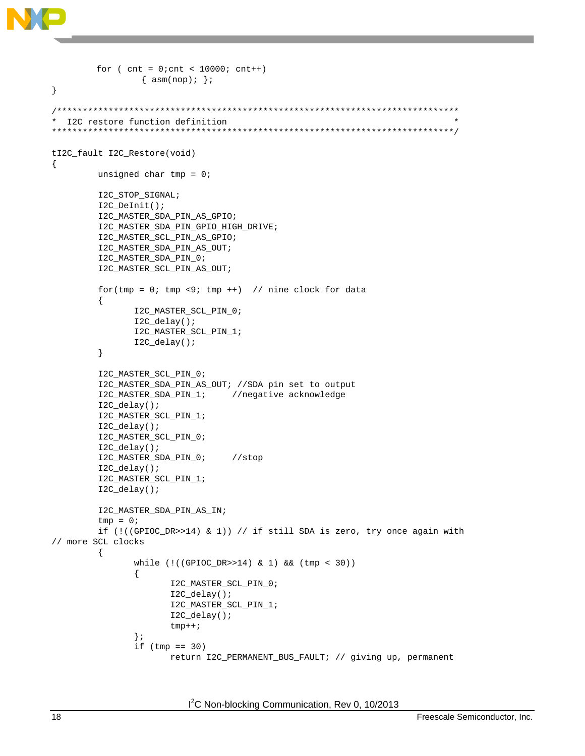```
for ( cnt = 0; cnt < 10000; cnt++)\{asm(np); \}\}* I2C restore function definition
tI2C_fault I2C_Restore(void)
{
       unsigned char tmp = 0;
        I2C_STOP_SIGNAL;
        I2C_DeInit();
        I2C_MASTER_SDA_PIN_AS_GPIO;
        I2C_MASTER_SDA_PIN_GPIO_HIGH_DRIVE;
       I2C_MASTER_SCL_PIN_AS_GPIO;
       I2C_MASTER_SDA_PIN_AS_OUT;
       I2C_MASTER_SDA_PIN_0;
       I2C_MASTER_SCL_PIN_AS_OUT;
        for (tmp = 0; tmp < 9; tmp ++) // nine clock for data
        \{I2C_MASTER_SCL_PIN_0;
              I2C\_delay()I2C_MASTER_SCL_PIN_1;
              I2C delay();
        \}I2C_MASTER_SCL_PIN_0;
        I2C_MASTER_SDA_PIN_AS_OUT; //SDA pin set to output
       I2C_MASTER_SDA_PIN_1;
                            //negative acknowledge
       I2C delay();
       I2C_MASTER_SCL_PIN_1;
       I2C_delay();
       I2C_MASTER_SCL_PIN_0;
        I2C_delay();
        I2C_MASTER_SDA_PIN_0;
                               //stop
        I2C_delay();
        I2C_MASTER_SCL_PIN_1;
        I2C_delay();
        I2C_MASTER_SDA_PIN_AS_IN;
        tmp = 0;if (!( (GPIOC_DR>>14) & 1)) // if still SDA is zero, try once again with
// more SCL clocks
        \{while (!((GPIOC_DR>>14) & 1) & 2k (tmp & 30))\mathcal{L}I2C_MASTER_SCL_PIN_0;
                    I2C_delay();
                    I2C_MASTER_SCL_PIN_1;
                    I2C_delay();
                    tmp++;\} ;
              if (tmp == 30)return I2C_PERMANENT_BUS_FAULT; // giving up, permanent
```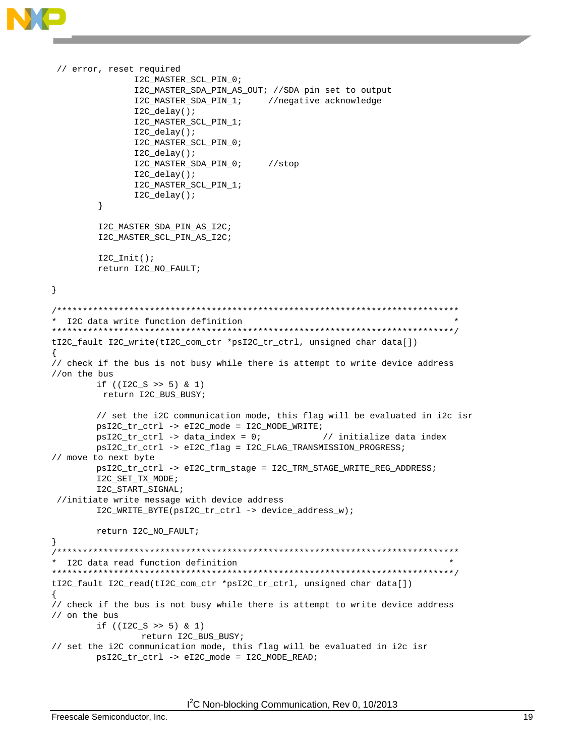```
// error, reset required
                 I2C_MASTER_SCL_PIN_0;
                 I2C_MASTER_SDA_PIN_AS_OUT; //SDA pin set to output
                 I2C_MASTER_SDA_PIN_1; //negative acknowledge
                 I2C_delay();
                 I2C_MASTER_SCL_PIN_1;
                 I2C_delay();
                 I2C_MASTER_SCL_PIN_0;
                 I2C_delay();
                 I2C_MASTER_SDA_PIN_0; //stop
                 I2C_delay();
                 I2C_MASTER_SCL_PIN_1;
         I2C_delay();<br>}
 }
          I2C_MASTER_SDA_PIN_AS_I2C;
          I2C_MASTER_SCL_PIN_AS_I2C;
         I2C_Init() return I2C_NO_FAULT;
}
/******************************************************************************
  I2C data write function definition
******************************************************************************/
tI2C_fault I2C_write(tI2C_com_ctr *psI2C_tr_ctrl, unsigned char data[])
{
// check if the bus is not busy while there is attempt to write device address 
//on the bus 
        if ((I2C_S >> 5) & 1)
         return I2C_BUS_BUSY;
        // set the i2C communication mode, this flag will be evaluated in i2c isr
        psI2C_tr_ctrl -> eI2C_mode = I2C_MODE_WRITE; 
        psI2C_tr_ctr1 \rightarrow data\_index = 0; // initialize data index
        psI2C_tr_ctrl -> eI2C_flag = I2C_FLAG_TRANSMISSION_PROGRESS; 
// move to next byte
        psI2C_tr_ctrl -> eI2C_trm_stage = I2C_TRM_STAGE_WRITE_REG_ADDRESS; 
        I2C_SET_TX_MODE; 
        I2C_START_SIGNAL;
 //initiate write message with device address
        I2C_WRITE_BYTE(psI2C_tr_ctrl -> device_address_w); 
        return I2C_NO_FAULT;
}
/******************************************************************************
  I2C data read function definition
******************************************************************************/
tI2C_fault I2C_read(tI2C_com_ctr *psI2C_tr_ctrl, unsigned char data[])
{
// check if the bus is not busy while there is attempt to write device address 
// on the bus 
        if ((I2C_S >> 5) & 1)
                 return I2C_BUS_BUSY; 
// set the i2C communication mode, this flag will be evaluated in i2c isr
        psI2C_tr_ctrl -> eI2C_mode = I2C_MODE_READ;
```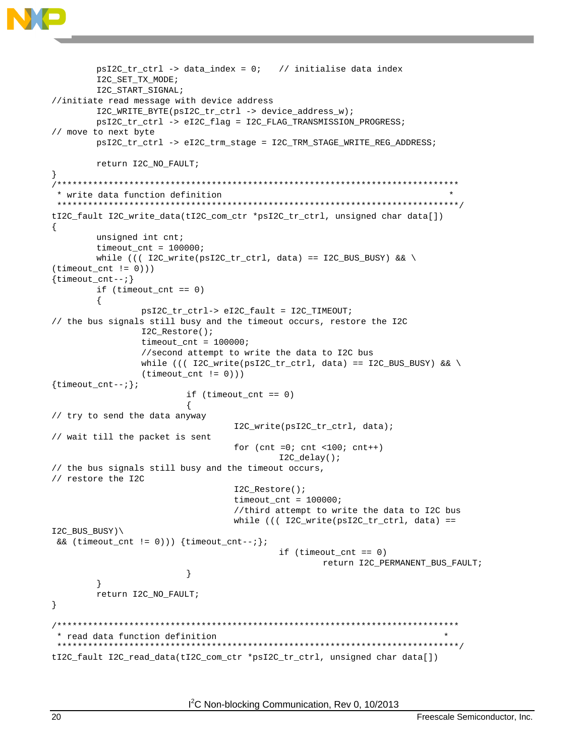

```
psI2C_tr_Ctr1 -> data_index = 0; // initialise data index
       I2C_SET_TX_MODE;
       I2C_START_SIGNAL;
//initiate read message with device address
       I2C_WRITE_BYTE(psI2C_tr_ctrl -> device_address_w);
       psI2C_tr_ctrl -> eI2C_flag = I2C_FLAG_TRANSMISSION_PROGRESS;
// move to next byte
       psI2C_tr_ctrl -> eI2C_trm_stage = I2C_TRM_STAGE_WRITE_REG_ADDRESS;
       return I2C_NO_FAULT;
\}* write data function definition
tI2C_fault I2C_write_data(tI2C_com_ctr *psI2C_tr_ctrl, unsigned char data[])
\{unsigned int cnt;
       timeout_cnt = 100000;while ((( I2C_write(psI2C_tr_ctr1, data) == I2C_BUS_BUSY) & \
(t \text{timeout\_cnt} != 0)))\{timeout_cnt--; \}if (t \text{imeout\_cnt} == 0)psI2C_tr_ctrl-> eI2C_fault = I2C_TIMEOUT;
// the bus signals still busy and the timeout occurs, restore the I2C
               I2C_Restore();
               timeout\_cnt = 100000;//second attempt to write the data to I2C bus
               while ((( I2C_write(ps12C_tr_ctr1, data) == I2C_BUS_BUSY) & \&(timeout_cnt != 0)))\{\text{timeout\_cnt--:}\}if (t \text{imeout\_cnt} == 0)\overline{A}// try to send the data anyway
                               I2C_write(psI2C_tr_ctrl, data);
// wait till the packet is sent
                               for (\text{cnt} = 0; \text{cnt} < 100; \text{cnt++})I2C_delay();
// the bus signals still busy and the timeout occurs,
// restore the I2C
                               I2C_Restore();
                               timeout\_cnt = 100000;//third attempt to write the data to I2C bus
                               while (((12C_write(psI2C_tr_ctr], data) ==I2C_BUS_BUSY)\
&& (timeout_cnt != 0))) \{timeout_cnt--; \}if (t \text{imeout\_cnt} == 0)return I2C_PERMANENT_BUS_FAULT;
                       \}\mathcal{E}return I2C_NO_FAULT;
\}* read data function definition
tI2C_fault I2C_read_data(tI2C_com_ctr *psI2C_tr_ctrl, unsigned char data[])
```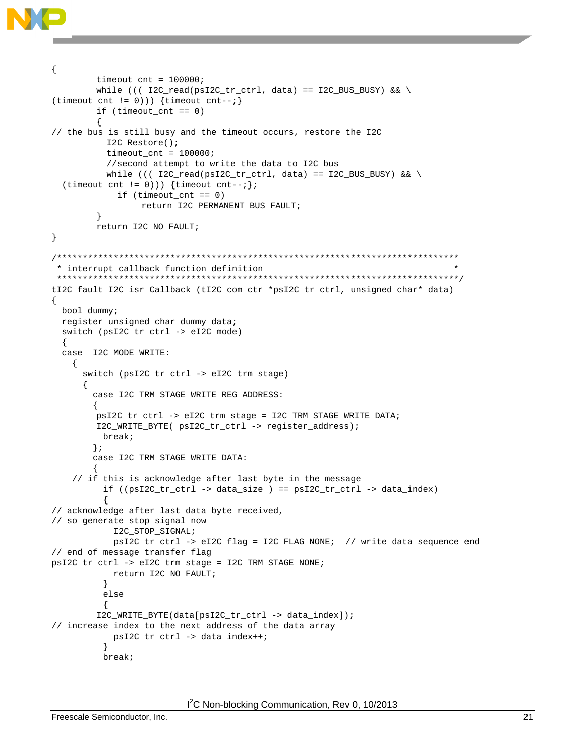

```
ſ
        timeout_cnt = 100000;while ((( I2C_read(psI2C_tr_ctr], data) == I2C_BUS_BUSY) & \
(\text{timeout\_cnt} != 0))) \{ \text{timeout\_cnt--}; \}if (t \text{timeout\_cnt} == 0)// the bus is still busy and the timeout occurs, restore the I2C
          I2C_Restore();
          timeout_cnt = 100000;//second attempt to write the data to I2C bus
          while ((( I2C_read(psI2C_tr_ctr], data) == I2C_BUS_BUSY) & \&(timeout_cnt != 0))) {timeout_cnt--;};
            if (t \text{imeout\_cnt} == 0)return I2C_PERMANENT_BUS_FAULT;
        \}return I2C_NO_FAULT;
\}* interrupt callback function definition
 tI2C_fault I2C_isr_Callback (tI2C_com_ctr *psI2C_tr_ctrl, unsigned char* data)
ſ
 bool dummy;
 register unsigned char dummy_data;
 switch (psI2C_tr_ctrl -> eI2C_mode)
  \left\{ \right.case I2C_MODE_WRITE:
   \{switch (psI2C_tr_ctrl -> eI2C_trm_stage)
     \left\{ \right.case I2C_TRM_STAGE_WRITE_REG_ADDRESS:
       ₹
        psI2C_tr_ctrl -> eI2C_trm_stage = I2C_TRM_STAGE_WRITE_DATA;
        I2C_WRITE_BYTE( psI2C_tr_ctrl -> register_address);
         break;
       \} ;
       case I2C_TRM_STAGE_WRITE_DATA:
   // if this is acknowledge after last byte in the message
         if ((ps12C_tr_ctr1 \rightarrow data_size) == ps12C_tr_ctr1 \rightarrow data_index)// acknowledge after last data byte received,
// so generate stop signal now
           I2C_STOP_SIGNAL;
           psI2C_tr_ctrl -> eI2C_flag = I2C_FLAG_NONE; // write data sequence end
// end of message transfer flag
psI2C_tr_ctrl -> eI2C_trm_stage = I2C_TRM_STAGE_NONE;
           return I2C_NO_FAULT;
         P)
         else
        I2C_WRITE_BYTE(data[psI2C_tr_ctrl -> data_index]);
// increase index to the next address of the data array
           psI2C_tr_ctrl -> data_index++;
         break;
```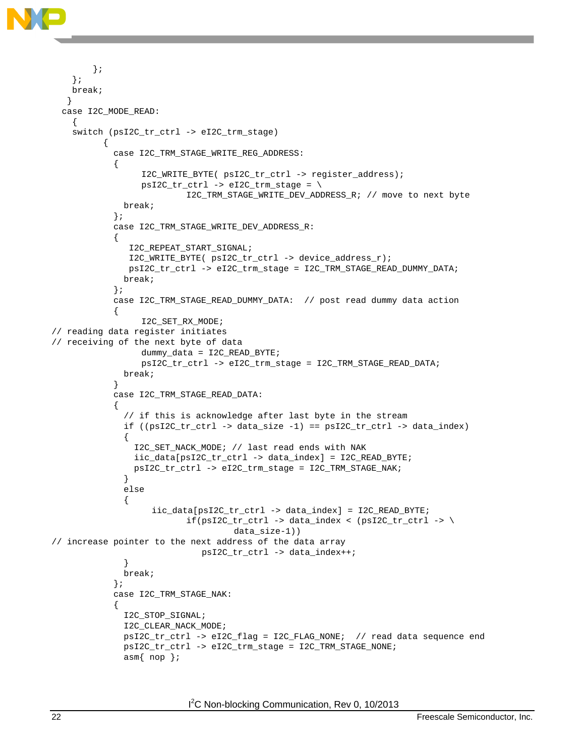

```
 }; 
     };
     break;
    }
   case I2C_MODE_READ:
    \{ switch (psI2C_tr_ctrl -> eI2C_trm_stage) 
\left\{ \begin{array}{ccc} 1 & 1 \\ 1 & 1 \end{array} \right\} case I2C_TRM_STAGE_WRITE_REG_ADDRESS:
\left\{ \begin{array}{c} 1 & 1 \\ 1 & 1 \end{array} \right. I2C_WRITE_BYTE( psI2C_tr_ctrl -> register_address);
                    psI2C_tr\_ctrl -> eI2C_trm_stage = \
                              I2C_TRM_STAGE_WRITE_DEV_ADDRESS_R; // move to next byte
                 break;
               };
               case I2C_TRM_STAGE_WRITE_DEV_ADDRESS_R:
\left\{ \begin{array}{c} 1 & 1 \\ 1 & 1 \end{array} \right. I2C_REPEAT_START_SIGNAL;
                  I2C_WRITE_BYTE( psI2C_tr_ctrl -> device_address_r);
                  psI2C_tr_ctrl -> eI2C_trm_stage = I2C_TRM_STAGE_READ_DUMMY_DATA; 
                 break;
               };
               case I2C_TRM_STAGE_READ_DUMMY_DATA: // post read dummy data action
\left\{ \begin{array}{c} 1 & 1 \\ 1 & 1 \end{array} \right. I2C_SET_RX_MODE;
// reading data register initiates 
// receiving of the next byte of data
                     dummy_data = I2C_READ_BYTE; 
                     psI2C_tr_ctrl -> eI2C_trm_stage = I2C_TRM_STAGE_READ_DATA;
                 break;
 }
               case I2C_TRM_STAGE_READ_DATA:
\left\{ \begin{array}{c} 1 & 1 \\ 1 & 1 \end{array} \right. // if this is acknowledge after last byte in the stream
                if ((ps12C_tr_ctr1 \rightarrow data_size -1) == ps12C_tr_ctr1 \rightarrow data_index)\{ I2C_SET_NACK_MODE; // last read ends with NAK
                   iic_data[psI2C_tr_ctrl -> data_index] = I2C_READ_BYTE; 
                   psI2C_tr_ctrl -> eI2C_trm_stage = I2C_TRM_STAGE_NAK;
 }
                 else 
 {
                       iic_data[psI2C_tr_ctrl -> data_index] = I2C_READ_BYTE;
                              if(psI2C_tr_ctr] \rightarrow data_index \langle (psI2C_tr_ctr] \rightarrow \data_size-1)) 
// increase pointer to the next address of the data array
                \verb|psi12C_tr_ctr1| \rightarrow \verb|data_index++; }
                 break;
               }; 
               case I2C_TRM_STAGE_NAK:
\{ I2C_STOP_SIGNAL;
                 I2C_CLEAR_NACK_MODE; 
                 psI2C_tr_ctrl -> eI2C_flag = I2C_FLAG_NONE; // read data sequence end 
                 psI2C_tr_ctrl -> eI2C_trm_stage = I2C_TRM_STAGE_NONE;
                asm{nop };
```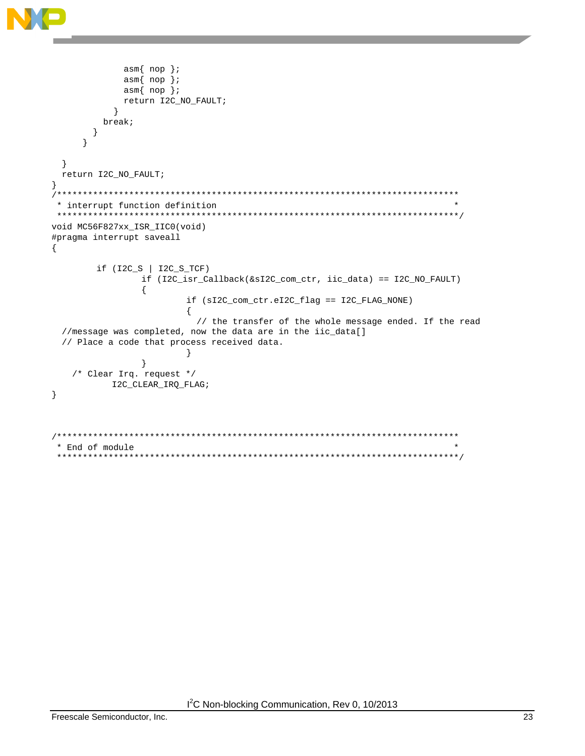```
asm{nop} ;
           asm{nop}?
           asm{nop};
           return I2C_NO_FAULT;
         \mathcal{E}break;
      \}\left\{ \right.\}return I2C_NO_FAULT;
\}* interrupt function definition
void MC56F827xx_ISR_IIC0(void)
#pragma interrupt saveall
\{if (12C_S | 12C_S_TCF)if (I2C_isr_Callback(&sI2C_com_ctr, iic_data) == I2C_NO_FAULT)
             \{if (sI2C_com_ctr.eI2C_flag == I2C_FLAG_NONE)
                    \{// the transfer of the whole message ended. If the read
 //message was completed, now the data are in the iic_data[]
 // Place a code that process received data.
                    \mathcal{F}\left\{ \right\}/* Clear Irq. request */
         I2C_CLEAR_IRQ_FLAG;
\rightarrow/*****************
                        *******************************
* End of module
```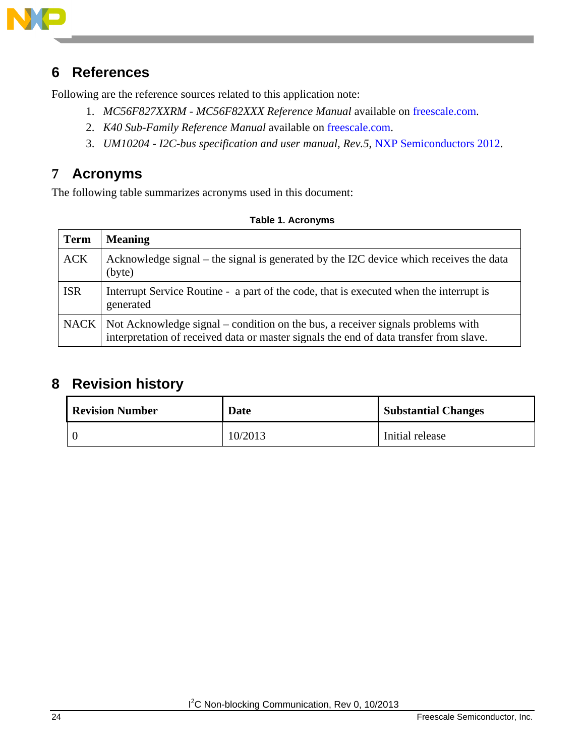

## <span id="page-23-0"></span>**6 References**

Following are the reference sources related to this application note:

- 1. *MC56F827XXRM - MC56F82XXX Reference Manual* available on [freescale.com.](http://www.freescale.com/)
- 2. *K40 Sub-Family Reference Manual* available on [freescale.com.](http://www.freescale.com/)
- 3. *UM10204 - I2C-bus specification and user manual, Rev.5*, [NXP Semiconductors 2012.](http://www.nxp.com/documents/user_manual/UM10204.pdf)

# <span id="page-23-1"></span>**7 Acronyms**

The following table summarizes acronyms used in this document:

|  |  | <b>Table 1. Acronyms</b> |
|--|--|--------------------------|
|--|--|--------------------------|

| <b>Term</b> | <b>Meaning</b>                                                                                                                                                                   |
|-------------|----------------------------------------------------------------------------------------------------------------------------------------------------------------------------------|
| <b>ACK</b>  | Acknowledge signal – the signal is generated by the I2C device which receives the data<br>(byte)                                                                                 |
| <b>ISR</b>  | Interrupt Service Routine - a part of the code, that is executed when the interrupt is<br>generated                                                                              |
|             | NACK   Not Acknowledge signal – condition on the bus, a receiver signals problems with<br>interpretation of received data or master signals the end of data transfer from slave. |

## <span id="page-23-2"></span>**8 Revision history**

| <b>Revision Number</b> | Date    | <b>Substantial Changes</b> |  |
|------------------------|---------|----------------------------|--|
| $\overline{0}$         | 10/2013 | Initial release            |  |